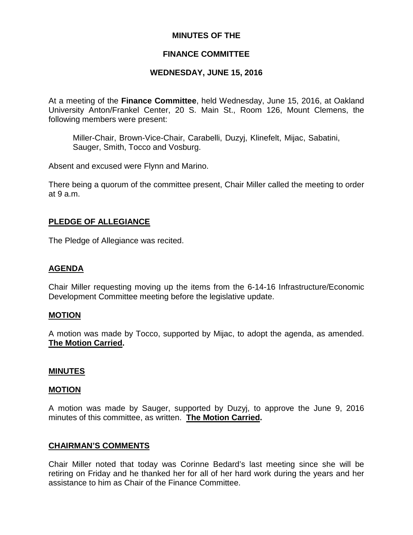### **MINUTES OF THE**

### **FINANCE COMMITTEE**

### **WEDNESDAY, JUNE 15, 2016**

At a meeting of the **Finance Committee**, held Wednesday, June 15, 2016, at Oakland University Anton/Frankel Center, 20 S. Main St., Room 126, Mount Clemens, the following members were present:

Miller-Chair, Brown-Vice-Chair, Carabelli, Duzyj, Klinefelt, Mijac, Sabatini, Sauger, Smith, Tocco and Vosburg.

Absent and excused were Flynn and Marino.

There being a quorum of the committee present, Chair Miller called the meeting to order at 9 a.m.

### **PLEDGE OF ALLEGIANCE**

The Pledge of Allegiance was recited.

#### **AGENDA**

Chair Miller requesting moving up the items from the 6-14-16 Infrastructure/Economic Development Committee meeting before the legislative update.

#### **MOTION**

A motion was made by Tocco, supported by Mijac, to adopt the agenda, as amended. **The Motion Carried.**

#### **MINUTES**

#### **MOTION**

A motion was made by Sauger, supported by Duzyj, to approve the June 9, 2016 minutes of this committee, as written. **The Motion Carried.**

#### **CHAIRMAN'S COMMENTS**

Chair Miller noted that today was Corinne Bedard's last meeting since she will be retiring on Friday and he thanked her for all of her hard work during the years and her assistance to him as Chair of the Finance Committee.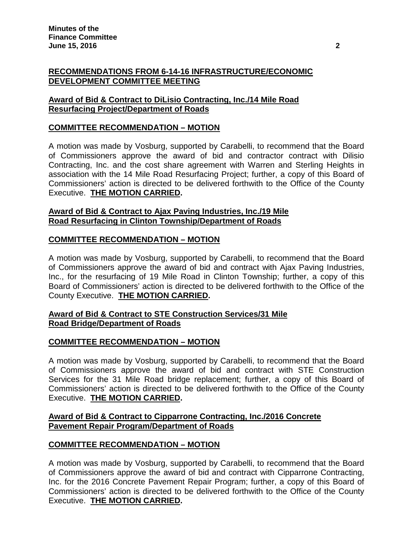## **RECOMMENDATIONS FROM 6-14-16 INFRASTRUCTURE/ECONOMIC DEVELOPMENT COMMITTEE MEETING**

## **Award of Bid & Contract to DiLisio Contracting, Inc./14 Mile Road Resurfacing Project/Department of Roads**

# **COMMITTEE RECOMMENDATION – MOTION**

A motion was made by Vosburg, supported by Carabelli, to recommend that the Board of Commissioners approve the award of bid and contractor contract with Dilisio Contracting, Inc. and the cost share agreement with Warren and Sterling Heights in association with the 14 Mile Road Resurfacing Project; further, a copy of this Board of Commissioners' action is directed to be delivered forthwith to the Office of the County Executive. **THE MOTION CARRIED.**

### **Award of Bid & Contract to Ajax Paving Industries, Inc./19 Mile Road Resurfacing in Clinton Township/Department of Roads**

## **COMMITTEE RECOMMENDATION – MOTION**

A motion was made by Vosburg, supported by Carabelli, to recommend that the Board of Commissioners approve the award of bid and contract with Ajax Paving Industries, Inc., for the resurfacing of 19 Mile Road in Clinton Township; further, a copy of this Board of Commissioners' action is directed to be delivered forthwith to the Office of the County Executive. **THE MOTION CARRIED.**

## **Award of Bid & Contract to STE Construction Services/31 Mile Road Bridge/Department of Roads**

## **COMMITTEE RECOMMENDATION – MOTION**

A motion was made by Vosburg, supported by Carabelli, to recommend that the Board of Commissioners approve the award of bid and contract with STE Construction Services for the 31 Mile Road bridge replacement; further, a copy of this Board of Commissioners' action is directed to be delivered forthwith to the Office of the County Executive. **THE MOTION CARRIED.**

### **Award of Bid & Contract to Cipparrone Contracting, Inc./2016 Concrete Pavement Repair Program/Department of Roads**

## **COMMITTEE RECOMMENDATION – MOTION**

A motion was made by Vosburg, supported by Carabelli, to recommend that the Board of Commissioners approve the award of bid and contract with Cipparrone Contracting, Inc. for the 2016 Concrete Pavement Repair Program; further, a copy of this Board of Commissioners' action is directed to be delivered forthwith to the Office of the County Executive. **THE MOTION CARRIED.**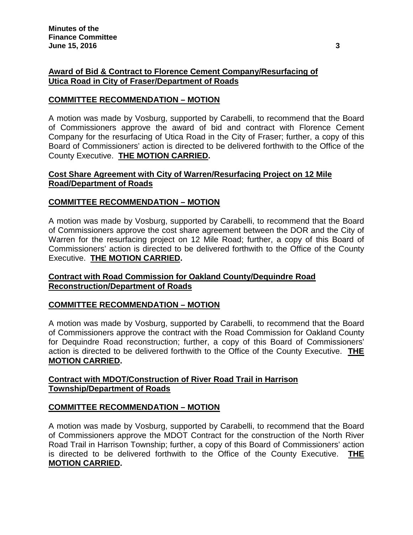# **Award of Bid & Contract to Florence Cement Company/Resurfacing of Utica Road in City of Fraser/Department of Roads**

# **COMMITTEE RECOMMENDATION – MOTION**

A motion was made by Vosburg, supported by Carabelli, to recommend that the Board of Commissioners approve the award of bid and contract with Florence Cement Company for the resurfacing of Utica Road in the City of Fraser; further, a copy of this Board of Commissioners' action is directed to be delivered forthwith to the Office of the County Executive. **THE MOTION CARRIED.**

# **Cost Share Agreement with City of Warren/Resurfacing Project on 12 Mile Road/Department of Roads**

## **COMMITTEE RECOMMENDATION – MOTION**

A motion was made by Vosburg, supported by Carabelli, to recommend that the Board of Commissioners approve the cost share agreement between the DOR and the City of Warren for the resurfacing project on 12 Mile Road; further, a copy of this Board of Commissioners' action is directed to be delivered forthwith to the Office of the County Executive. **THE MOTION CARRIED.**

## **Contract with Road Commission for Oakland County/Dequindre Road Reconstruction/Department of Roads**

## **COMMITTEE RECOMMENDATION – MOTION**

A motion was made by Vosburg, supported by Carabelli, to recommend that the Board of Commissioners approve the contract with the Road Commission for Oakland County for Dequindre Road reconstruction; further, a copy of this Board of Commissioners' action is directed to be delivered forthwith to the Office of the County Executive. **THE MOTION CARRIED.**

# **Contract with MDOT/Construction of River Road Trail in Harrison Township/Department of Roads**

## **COMMITTEE RECOMMENDATION – MOTION**

A motion was made by Vosburg, supported by Carabelli, to recommend that the Board of Commissioners approve the MDOT Contract for the construction of the North River Road Trail in Harrison Township; further, a copy of this Board of Commissioners' action is directed to be delivered forthwith to the Office of the County Executive. **THE MOTION CARRIED.**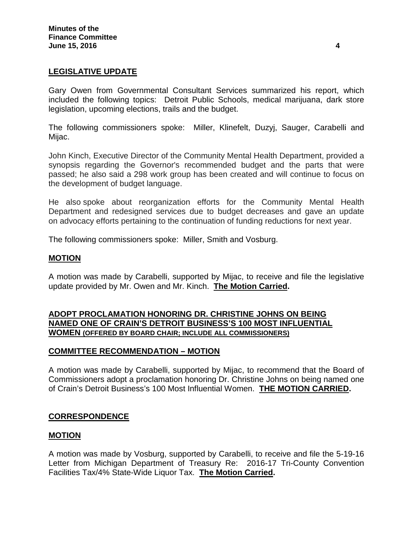## **LEGISLATIVE UPDATE**

Gary Owen from Governmental Consultant Services summarized his report, which included the following topics: Detroit Public Schools, medical marijuana, dark store legislation, upcoming elections, trails and the budget.

The following commissioners spoke: Miller, Klinefelt, Duzyj, Sauger, Carabelli and Mijac.

John Kinch, Executive Director of the Community Mental Health Department, provided a synopsis regarding the Governor's recommended budget and the parts that were passed; he also said a 298 work group has been created and will continue to focus on the development of budget language.

He also spoke about reorganization efforts for the Community Mental Health Department and redesigned services due to budget decreases and gave an update on advocacy efforts pertaining to the continuation of funding reductions for next year.

The following commissioners spoke: Miller, Smith and Vosburg.

### **MOTION**

A motion was made by Carabelli, supported by Mijac, to receive and file the legislative update provided by Mr. Owen and Mr. Kinch. **The Motion Carried.**

### **ADOPT PROCLAMATION HONORING DR. CHRISTINE JOHNS ON BEING NAMED ONE OF CRAIN'S DETROIT BUSINESS'S 100 MOST INFLUENTIAL WOMEN (OFFERED BY BOARD CHAIR; INCLUDE ALL COMMISSIONERS)**

## **COMMITTEE RECOMMENDATION – MOTION**

A motion was made by Carabelli, supported by Mijac, to recommend that the Board of Commissioners adopt a proclamation honoring Dr. Christine Johns on being named one of Crain's Detroit Business's 100 Most Influential Women. **THE MOTION CARRIED.**

## **CORRESPONDENCE**

#### **MOTION**

A motion was made by Vosburg, supported by Carabelli, to receive and file the 5-19-16 Letter from Michigan Department of Treasury Re: 2016-17 Tri-County Convention Facilities Tax/4% State-Wide Liquor Tax. **The Motion Carried.**